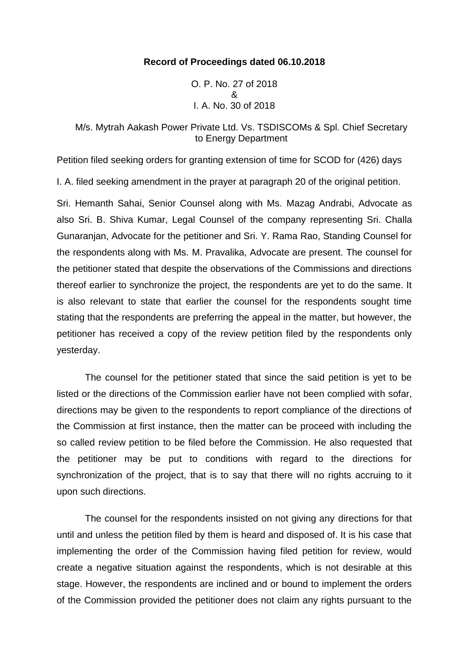### **Record of Proceedings dated 06.10.2018**

O. P. No. 27 of 2018 & I. A. No. 30 of 2018

# M/s. Mytrah Aakash Power Private Ltd. Vs. TSDISCOMs & Spl. Chief Secretary to Energy Department

Petition filed seeking orders for granting extension of time for SCOD for (426) days

I. A. filed seeking amendment in the prayer at paragraph 20 of the original petition.

Sri. Hemanth Sahai, Senior Counsel along with Ms. Mazag Andrabi, Advocate as also Sri. B. Shiva Kumar, Legal Counsel of the company representing Sri. Challa Gunaranjan, Advocate for the petitioner and Sri. Y. Rama Rao, Standing Counsel for the respondents along with Ms. M. Pravalika, Advocate are present. The counsel for the petitioner stated that despite the observations of the Commissions and directions thereof earlier to synchronize the project, the respondents are yet to do the same. It is also relevant to state that earlier the counsel for the respondents sought time stating that the respondents are preferring the appeal in the matter, but however, the petitioner has received a copy of the review petition filed by the respondents only yesterday.

The counsel for the petitioner stated that since the said petition is yet to be listed or the directions of the Commission earlier have not been complied with sofar, directions may be given to the respondents to report compliance of the directions of the Commission at first instance, then the matter can be proceed with including the so called review petition to be filed before the Commission. He also requested that the petitioner may be put to conditions with regard to the directions for synchronization of the project, that is to say that there will no rights accruing to it upon such directions.

The counsel for the respondents insisted on not giving any directions for that until and unless the petition filed by them is heard and disposed of. It is his case that implementing the order of the Commission having filed petition for review, would create a negative situation against the respondents, which is not desirable at this stage. However, the respondents are inclined and or bound to implement the orders of the Commission provided the petitioner does not claim any rights pursuant to the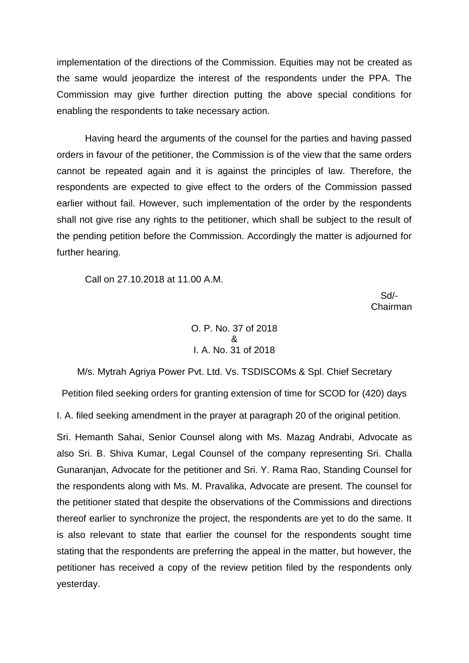implementation of the directions of the Commission. Equities may not be created as the same would jeopardize the interest of the respondents under the PPA. The Commission may give further direction putting the above special conditions for enabling the respondents to take necessary action.

Having heard the arguments of the counsel for the parties and having passed orders in favour of the petitioner, the Commission is of the view that the same orders cannot be repeated again and it is against the principles of law. Therefore, the respondents are expected to give effect to the orders of the Commission passed earlier without fail. However, such implementation of the order by the respondents shall not give rise any rights to the petitioner, which shall be subject to the result of the pending petition before the Commission. Accordingly the matter is adjourned for further hearing.

Call on 27.10.2018 at 11.00 A.M.

 Sd/- Chairman

### O. P. No. 37 of 2018 & I. A. No. 31 of 2018

M/s. Mytrah Agriya Power Pvt. Ltd. Vs. TSDISCOMs & Spl. Chief Secretary Petition filed seeking orders for granting extension of time for SCOD for (420) days

I. A. filed seeking amendment in the prayer at paragraph 20 of the original petition.

Sri. Hemanth Sahai, Senior Counsel along with Ms. Mazag Andrabi, Advocate as also Sri. B. Shiva Kumar, Legal Counsel of the company representing Sri. Challa Gunaranjan, Advocate for the petitioner and Sri. Y. Rama Rao, Standing Counsel for the respondents along with Ms. M. Pravalika, Advocate are present. The counsel for the petitioner stated that despite the observations of the Commissions and directions thereof earlier to synchronize the project, the respondents are yet to do the same. It is also relevant to state that earlier the counsel for the respondents sought time stating that the respondents are preferring the appeal in the matter, but however, the petitioner has received a copy of the review petition filed by the respondents only yesterday.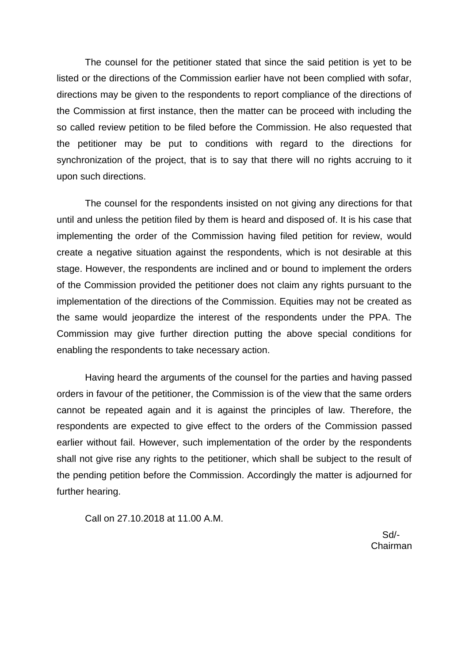The counsel for the petitioner stated that since the said petition is yet to be listed or the directions of the Commission earlier have not been complied with sofar, directions may be given to the respondents to report compliance of the directions of the Commission at first instance, then the matter can be proceed with including the so called review petition to be filed before the Commission. He also requested that the petitioner may be put to conditions with regard to the directions for synchronization of the project, that is to say that there will no rights accruing to it upon such directions.

The counsel for the respondents insisted on not giving any directions for that until and unless the petition filed by them is heard and disposed of. It is his case that implementing the order of the Commission having filed petition for review, would create a negative situation against the respondents, which is not desirable at this stage. However, the respondents are inclined and or bound to implement the orders of the Commission provided the petitioner does not claim any rights pursuant to the implementation of the directions of the Commission. Equities may not be created as the same would jeopardize the interest of the respondents under the PPA. The Commission may give further direction putting the above special conditions for enabling the respondents to take necessary action.

Having heard the arguments of the counsel for the parties and having passed orders in favour of the petitioner, the Commission is of the view that the same orders cannot be repeated again and it is against the principles of law. Therefore, the respondents are expected to give effect to the orders of the Commission passed earlier without fail. However, such implementation of the order by the respondents shall not give rise any rights to the petitioner, which shall be subject to the result of the pending petition before the Commission. Accordingly the matter is adjourned for further hearing.

Call on 27.10.2018 at 11.00 A.M.

 Sd/- Chairman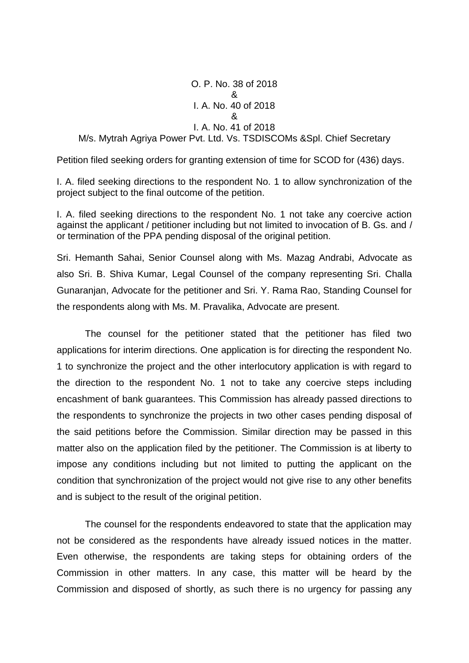O. P. No. 38 of 2018 & I. A. No. 40 of 2018 & I. A. No. 41 of 2018 M/s. Mytrah Agriya Power Pvt. Ltd. Vs. TSDISCOMs &Spl. Chief Secretary

Petition filed seeking orders for granting extension of time for SCOD for (436) days.

I. A. filed seeking directions to the respondent No. 1 to allow synchronization of the project subject to the final outcome of the petition.

I. A. filed seeking directions to the respondent No. 1 not take any coercive action against the applicant / petitioner including but not limited to invocation of B. Gs. and / or termination of the PPA pending disposal of the original petition.

Sri. Hemanth Sahai, Senior Counsel along with Ms. Mazag Andrabi, Advocate as also Sri. B. Shiva Kumar, Legal Counsel of the company representing Sri. Challa Gunaranjan, Advocate for the petitioner and Sri. Y. Rama Rao, Standing Counsel for the respondents along with Ms. M. Pravalika, Advocate are present.

The counsel for the petitioner stated that the petitioner has filed two applications for interim directions. One application is for directing the respondent No. 1 to synchronize the project and the other interlocutory application is with regard to the direction to the respondent No. 1 not to take any coercive steps including encashment of bank guarantees. This Commission has already passed directions to the respondents to synchronize the projects in two other cases pending disposal of the said petitions before the Commission. Similar direction may be passed in this matter also on the application filed by the petitioner. The Commission is at liberty to impose any conditions including but not limited to putting the applicant on the condition that synchronization of the project would not give rise to any other benefits and is subject to the result of the original petition.

The counsel for the respondents endeavored to state that the application may not be considered as the respondents have already issued notices in the matter. Even otherwise, the respondents are taking steps for obtaining orders of the Commission in other matters. In any case, this matter will be heard by the Commission and disposed of shortly, as such there is no urgency for passing any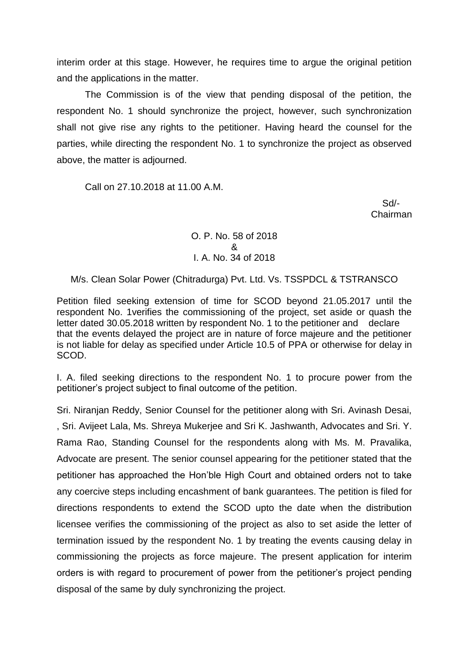interim order at this stage. However, he requires time to argue the original petition and the applications in the matter.

The Commission is of the view that pending disposal of the petition, the respondent No. 1 should synchronize the project, however, such synchronization shall not give rise any rights to the petitioner. Having heard the counsel for the parties, while directing the respondent No. 1 to synchronize the project as observed above, the matter is adjourned.

Call on 27.10.2018 at 11.00 A.M.

 Sd/- Chairman

> O. P. No. 58 of 2018 & I. A. No. 34 of 2018

M/s. Clean Solar Power (Chitradurga) Pvt. Ltd. Vs. TSSPDCL & TSTRANSCO

Petition filed seeking extension of time for SCOD beyond 21.05.2017 until the respondent No. 1verifies the commissioning of the project, set aside or quash the letter dated 30.05.2018 written by respondent No. 1 to the petitioner and declare that the events delayed the project are in nature of force majeure and the petitioner is not liable for delay as specified under Article 10.5 of PPA or otherwise for delay in SCOD.

I. A. filed seeking directions to the respondent No. 1 to procure power from the petitioner's project subject to final outcome of the petition.

Sri. Niranjan Reddy, Senior Counsel for the petitioner along with Sri. Avinash Desai, , Sri. Avijeet Lala, Ms. Shreya Mukerjee and Sri K. Jashwanth, Advocates and Sri. Y. Rama Rao, Standing Counsel for the respondents along with Ms. M. Pravalika, Advocate are present. The senior counsel appearing for the petitioner stated that the petitioner has approached the Hon'ble High Court and obtained orders not to take any coercive steps including encashment of bank guarantees. The petition is filed for directions respondents to extend the SCOD upto the date when the distribution licensee verifies the commissioning of the project as also to set aside the letter of termination issued by the respondent No. 1 by treating the events causing delay in commissioning the projects as force majeure. The present application for interim orders is with regard to procurement of power from the petitioner's project pending disposal of the same by duly synchronizing the project.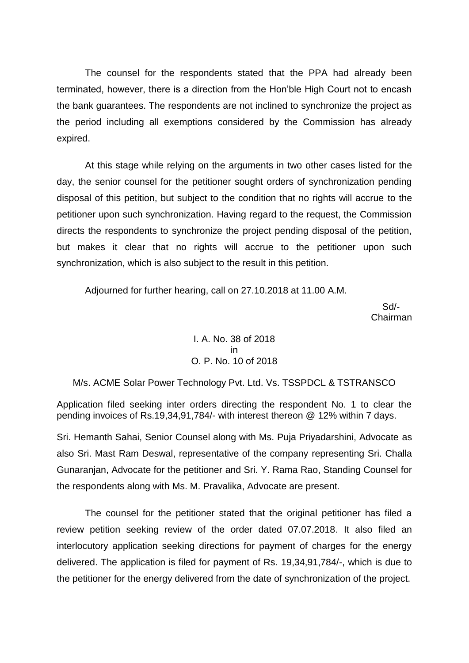The counsel for the respondents stated that the PPA had already been terminated, however, there is a direction from the Hon'ble High Court not to encash the bank guarantees. The respondents are not inclined to synchronize the project as the period including all exemptions considered by the Commission has already expired.

At this stage while relying on the arguments in two other cases listed for the day, the senior counsel for the petitioner sought orders of synchronization pending disposal of this petition, but subject to the condition that no rights will accrue to the petitioner upon such synchronization. Having regard to the request, the Commission directs the respondents to synchronize the project pending disposal of the petition, but makes it clear that no rights will accrue to the petitioner upon such synchronization, which is also subject to the result in this petition.

Adjourned for further hearing, call on 27.10.2018 at 11.00 A.M.

 Sd/- Chairman

### I. A. No. 38 of 2018 in O. P. No. 10 of 2018

#### M/s. ACME Solar Power Technology Pvt. Ltd. Vs. TSSPDCL & TSTRANSCO

Application filed seeking inter orders directing the respondent No. 1 to clear the pending invoices of Rs.19,34,91,784/- with interest thereon @ 12% within 7 days.

Sri. Hemanth Sahai, Senior Counsel along with Ms. Puja Priyadarshini, Advocate as also Sri. Mast Ram Deswal, representative of the company representing Sri. Challa Gunaranjan, Advocate for the petitioner and Sri. Y. Rama Rao, Standing Counsel for the respondents along with Ms. M. Pravalika, Advocate are present.

The counsel for the petitioner stated that the original petitioner has filed a review petition seeking review of the order dated 07.07.2018. It also filed an interlocutory application seeking directions for payment of charges for the energy delivered. The application is filed for payment of Rs. 19,34,91,784/-, which is due to the petitioner for the energy delivered from the date of synchronization of the project.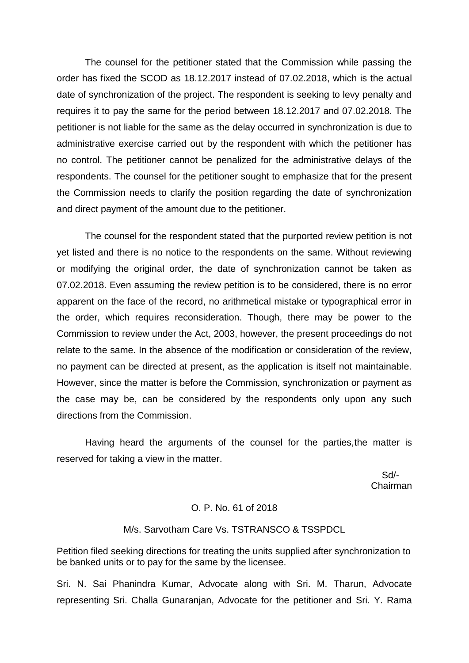The counsel for the petitioner stated that the Commission while passing the order has fixed the SCOD as 18.12.2017 instead of 07.02.2018, which is the actual date of synchronization of the project. The respondent is seeking to levy penalty and requires it to pay the same for the period between 18.12.2017 and 07.02.2018. The petitioner is not liable for the same as the delay occurred in synchronization is due to administrative exercise carried out by the respondent with which the petitioner has no control. The petitioner cannot be penalized for the administrative delays of the respondents. The counsel for the petitioner sought to emphasize that for the present the Commission needs to clarify the position regarding the date of synchronization and direct payment of the amount due to the petitioner.

The counsel for the respondent stated that the purported review petition is not yet listed and there is no notice to the respondents on the same. Without reviewing or modifying the original order, the date of synchronization cannot be taken as 07.02.2018. Even assuming the review petition is to be considered, there is no error apparent on the face of the record, no arithmetical mistake or typographical error in the order, which requires reconsideration. Though, there may be power to the Commission to review under the Act, 2003, however, the present proceedings do not relate to the same. In the absence of the modification or consideration of the review, no payment can be directed at present, as the application is itself not maintainable. However, since the matter is before the Commission, synchronization or payment as the case may be, can be considered by the respondents only upon any such directions from the Commission.

Having heard the arguments of the counsel for the parties,the matter is reserved for taking a view in the matter.

 Sd/- Chairman

#### O. P. No. 61 of 2018

#### M/s. Sarvotham Care Vs. TSTRANSCO & TSSPDCL

Petition filed seeking directions for treating the units supplied after synchronization to be banked units or to pay for the same by the licensee.

Sri. N. Sai Phanindra Kumar, Advocate along with Sri. M. Tharun, Advocate representing Sri. Challa Gunaranjan, Advocate for the petitioner and Sri. Y. Rama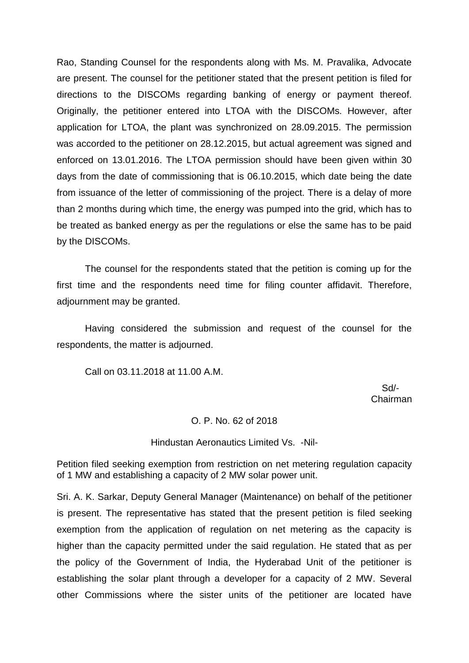Rao, Standing Counsel for the respondents along with Ms. M. Pravalika, Advocate are present. The counsel for the petitioner stated that the present petition is filed for directions to the DISCOMs regarding banking of energy or payment thereof. Originally, the petitioner entered into LTOA with the DISCOMs. However, after application for LTOA, the plant was synchronized on 28.09.2015. The permission was accorded to the petitioner on 28.12.2015, but actual agreement was signed and enforced on 13.01.2016. The LTOA permission should have been given within 30 days from the date of commissioning that is 06.10.2015, which date being the date from issuance of the letter of commissioning of the project. There is a delay of more than 2 months during which time, the energy was pumped into the grid, which has to be treated as banked energy as per the regulations or else the same has to be paid by the DISCOMs.

The counsel for the respondents stated that the petition is coming up for the first time and the respondents need time for filing counter affidavit. Therefore, adjournment may be granted.

Having considered the submission and request of the counsel for the respondents, the matter is adjourned.

Call on 03.11.2018 at 11.00 A.M.

 Sd/- Chairman

#### O. P. No. 62 of 2018

#### Hindustan Aeronautics Limited Vs. -Nil-

Petition filed seeking exemption from restriction on net metering regulation capacity of 1 MW and establishing a capacity of 2 MW solar power unit.

Sri. A. K. Sarkar, Deputy General Manager (Maintenance) on behalf of the petitioner is present. The representative has stated that the present petition is filed seeking exemption from the application of regulation on net metering as the capacity is higher than the capacity permitted under the said regulation. He stated that as per the policy of the Government of India, the Hyderabad Unit of the petitioner is establishing the solar plant through a developer for a capacity of 2 MW. Several other Commissions where the sister units of the petitioner are located have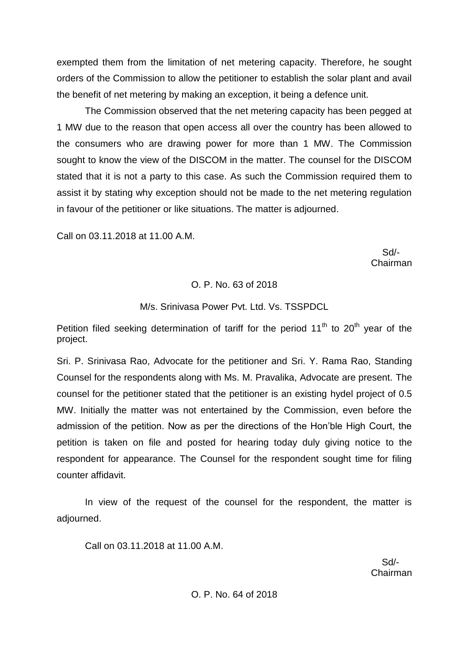exempted them from the limitation of net metering capacity. Therefore, he sought orders of the Commission to allow the petitioner to establish the solar plant and avail the benefit of net metering by making an exception, it being a defence unit.

The Commission observed that the net metering capacity has been pegged at 1 MW due to the reason that open access all over the country has been allowed to the consumers who are drawing power for more than 1 MW. The Commission sought to know the view of the DISCOM in the matter. The counsel for the DISCOM stated that it is not a party to this case. As such the Commission required them to assist it by stating why exception should not be made to the net metering regulation in favour of the petitioner or like situations. The matter is adjourned.

Call on 03.11.2018 at 11.00 A.M.

 Sd/- Chairman

#### O. P. No. 63 of 2018

# M/s. Srinivasa Power Pvt. Ltd. Vs. TSSPDCL

Petition filed seeking determination of tariff for the period  $11<sup>th</sup>$  to  $20<sup>th</sup>$  year of the project.

Sri. P. Srinivasa Rao, Advocate for the petitioner and Sri. Y. Rama Rao, Standing Counsel for the respondents along with Ms. M. Pravalika, Advocate are present. The counsel for the petitioner stated that the petitioner is an existing hydel project of 0.5 MW. Initially the matter was not entertained by the Commission, even before the admission of the petition. Now as per the directions of the Hon'ble High Court, the petition is taken on file and posted for hearing today duly giving notice to the respondent for appearance. The Counsel for the respondent sought time for filing counter affidavit.

In view of the request of the counsel for the respondent, the matter is adjourned.

Call on 03.11.2018 at 11.00 A.M.

 Sd/- Chairman

#### O. P. No. 64 of 2018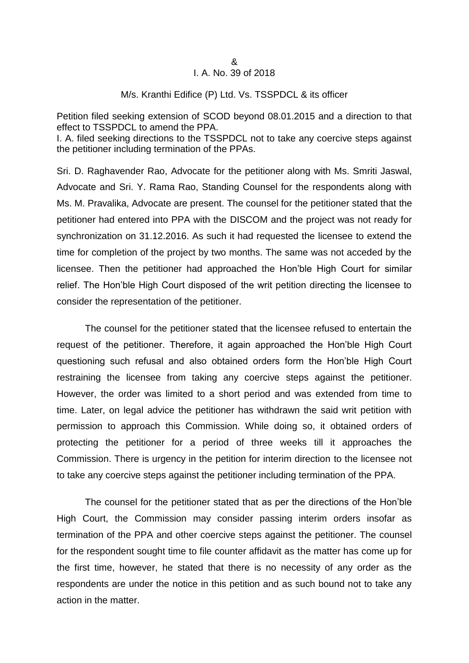### M/s. Kranthi Edifice (P) Ltd. Vs. TSSPDCL & its officer

Petition filed seeking extension of SCOD beyond 08.01.2015 and a direction to that effect to TSSPDCL to amend the PPA.

I. A. filed seeking directions to the TSSPDCL not to take any coercive steps against the petitioner including termination of the PPAs.

Sri. D. Raghavender Rao, Advocate for the petitioner along with Ms. Smriti Jaswal, Advocate and Sri. Y. Rama Rao, Standing Counsel for the respondents along with Ms. M. Pravalika, Advocate are present. The counsel for the petitioner stated that the petitioner had entered into PPA with the DISCOM and the project was not ready for synchronization on 31.12.2016. As such it had requested the licensee to extend the time for completion of the project by two months. The same was not acceded by the licensee. Then the petitioner had approached the Hon'ble High Court for similar relief. The Hon'ble High Court disposed of the writ petition directing the licensee to consider the representation of the petitioner.

The counsel for the petitioner stated that the licensee refused to entertain the request of the petitioner. Therefore, it again approached the Hon'ble High Court questioning such refusal and also obtained orders form the Hon'ble High Court restraining the licensee from taking any coercive steps against the petitioner. However, the order was limited to a short period and was extended from time to time. Later, on legal advice the petitioner has withdrawn the said writ petition with permission to approach this Commission. While doing so, it obtained orders of protecting the petitioner for a period of three weeks till it approaches the Commission. There is urgency in the petition for interim direction to the licensee not to take any coercive steps against the petitioner including termination of the PPA.

The counsel for the petitioner stated that as per the directions of the Hon'ble High Court, the Commission may consider passing interim orders insofar as termination of the PPA and other coercive steps against the petitioner. The counsel for the respondent sought time to file counter affidavit as the matter has come up for the first time, however, he stated that there is no necessity of any order as the respondents are under the notice in this petition and as such bound not to take any action in the matter.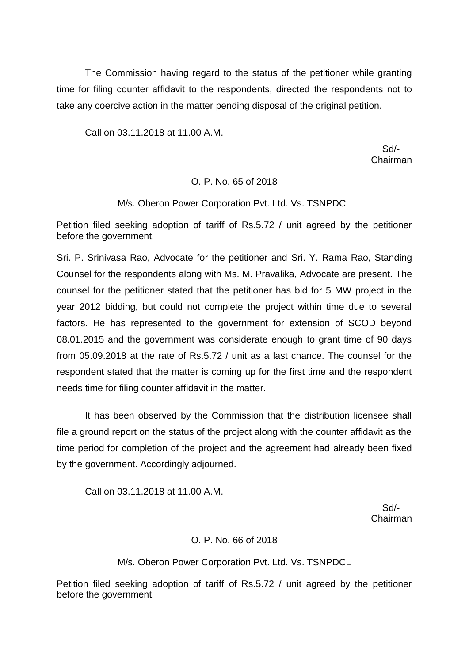The Commission having regard to the status of the petitioner while granting time for filing counter affidavit to the respondents, directed the respondents not to take any coercive action in the matter pending disposal of the original petition.

Call on 03.11.2018 at 11.00 A.M.

 Sd/- Chairman

# O. P. No. 65 of 2018

M/s. Oberon Power Corporation Pvt. Ltd. Vs. TSNPDCL

Petition filed seeking adoption of tariff of Rs.5.72 / unit agreed by the petitioner before the government.

Sri. P. Srinivasa Rao, Advocate for the petitioner and Sri. Y. Rama Rao, Standing Counsel for the respondents along with Ms. M. Pravalika, Advocate are present. The counsel for the petitioner stated that the petitioner has bid for 5 MW project in the year 2012 bidding, but could not complete the project within time due to several factors. He has represented to the government for extension of SCOD beyond 08.01.2015 and the government was considerate enough to grant time of 90 days from 05.09.2018 at the rate of Rs.5.72 / unit as a last chance. The counsel for the respondent stated that the matter is coming up for the first time and the respondent needs time for filing counter affidavit in the matter.

It has been observed by the Commission that the distribution licensee shall file a ground report on the status of the project along with the counter affidavit as the time period for completion of the project and the agreement had already been fixed by the government. Accordingly adjourned.

Call on 03.11.2018 at 11.00 A.M.

 Sd/- Chairman

# O. P. No. 66 of 2018

M/s. Oberon Power Corporation Pvt. Ltd. Vs. TSNPDCL

Petition filed seeking adoption of tariff of Rs.5.72 / unit agreed by the petitioner before the government.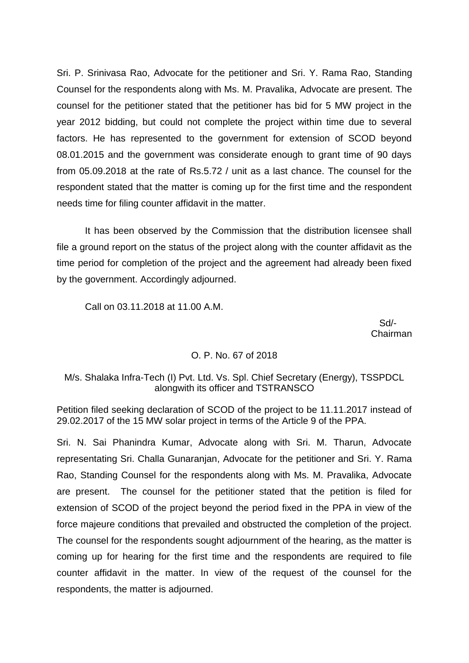Sri. P. Srinivasa Rao, Advocate for the petitioner and Sri. Y. Rama Rao, Standing Counsel for the respondents along with Ms. M. Pravalika, Advocate are present. The counsel for the petitioner stated that the petitioner has bid for 5 MW project in the year 2012 bidding, but could not complete the project within time due to several factors. He has represented to the government for extension of SCOD beyond 08.01.2015 and the government was considerate enough to grant time of 90 days from 05.09.2018 at the rate of Rs.5.72 / unit as a last chance. The counsel for the respondent stated that the matter is coming up for the first time and the respondent needs time for filing counter affidavit in the matter.

It has been observed by the Commission that the distribution licensee shall file a ground report on the status of the project along with the counter affidavit as the time period for completion of the project and the agreement had already been fixed by the government. Accordingly adjourned.

Call on 03.11.2018 at 11.00 A.M.

 Sd/- Chairman

# O. P. No. 67 of 2018

# M/s. Shalaka Infra-Tech (I) Pvt. Ltd. Vs. Spl. Chief Secretary (Energy), TSSPDCL alongwith its officer and TSTRANSCO

Petition filed seeking declaration of SCOD of the project to be 11.11.2017 instead of 29.02.2017 of the 15 MW solar project in terms of the Article 9 of the PPA.

Sri. N. Sai Phanindra Kumar, Advocate along with Sri. M. Tharun, Advocate representating Sri. Challa Gunaranjan, Advocate for the petitioner and Sri. Y. Rama Rao, Standing Counsel for the respondents along with Ms. M. Pravalika, Advocate are present. The counsel for the petitioner stated that the petition is filed for extension of SCOD of the project beyond the period fixed in the PPA in view of the force majeure conditions that prevailed and obstructed the completion of the project. The counsel for the respondents sought adjournment of the hearing, as the matter is coming up for hearing for the first time and the respondents are required to file counter affidavit in the matter. In view of the request of the counsel for the respondents, the matter is adjourned.